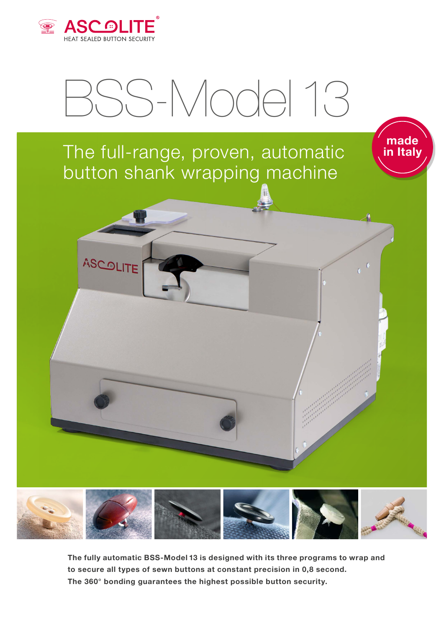

## BSS-Model 13

**made in Italy**

## The full-range, proven, automatic button shank wrapping machine



**The fully automatic BSS-Model 13 is designed with its three programs to wrap and to secure all types of sewn buttons at constant precision in 0,8 second. The 360° bonding guarantees the highest possible button security.**